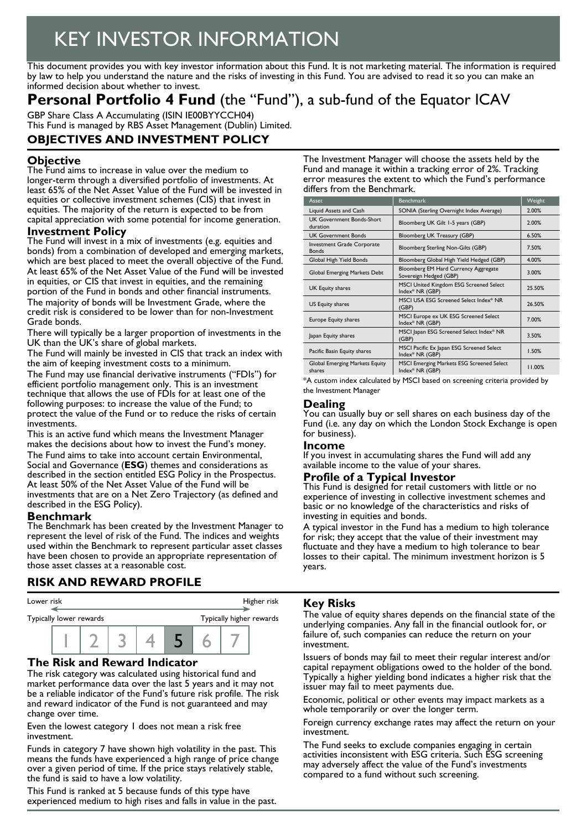# KEY INVESTOR INFORMATION

This document provides you with key investor information about this Fund. It is not marketing material. The information is required by law to help you understand the nature and the risks of investing in this Fund. You are advised to read it so you can make an informed decision about whether to invest.

# **Personal Portfolio 4 Fund** (the "Fund"), a sub-fund of the Equator ICAV

GBP Share Class A Accumulating (ISIN IE00BYYCCH04) This Fund is managed by RBS Asset Management (Dublin) Limited.

# **OBJECTIVES AND INVESTMENT POLICY**

### **Objective**

The Fund aims to increase in value over the medium to longer-term through a diversified portfolio of investments. At least 65% of the Net Asset Value of the Fund will be invested in equities or collective investment schemes (CIS) that invest in equities. The majority of the return is expected to be from capital appreciation with some potential for income generation.

#### **Investment Policy**

The Fund will invest in a mix of investments (e.g. equities and bonds) from a combination of developed and emerging markets, which are best placed to meet the overall objective of the Fund. At least 65% of the Net Asset Value of the Fund will be invested in equities, or CIS that invest in equities, and the remaining portion of the Fund in bonds and other financial instruments. The majority of bonds will be Investment Grade, where the credit risk is considered to be lower than for non-Investment Grade bonds.

There will typically be a larger proportion of investments in the UK than the UK's share of global markets.

The Fund will mainly be invested in CIS that track an index with the aim of keeping investment costs to a minimum.

The Fund may use financial derivative instruments ("FDIs") for efficient portfolio management only. This is an investment technique that allows the use of FDIs for at least one of the following purposes: to increase the value of the Fund; to protect the value of the Fund or to reduce the risks of certain investments.

This is an active fund which means the Investment Manager makes the decisions about how to invest the Fund's money. The Fund aims to take into account certain Environmental, Social and Governance (**ESG**) themes and considerations as described in the section entitled ESG Policy in the Prospectus. At least 50% of the Net Asset Value of the Fund will be investments that are on a Net Zero Trajectory (as defined and described in the ESG Policy).

#### **Benchmark**

The Benchmark has been created by the Investment Manager to represent the level of risk of the Fund. The indices and weights used within the Benchmark to represent particular asset classes have been chosen to provide an appropriate representation of those asset classes at a reasonable cost.

# **RISK AND REWARD PROFILE**



#### **The Risk and Reward Indicator**

The risk category was calculated using historical fund and market performance data over the last 5 years and it may not be a reliable indicator of the Fund's future risk profile. The risk and reward indicator of the Fund is not guaranteed and may change over time.

Even the lowest category 1 does not mean a risk free investment.

Funds in category 7 have shown high volatility in the past. This means the funds have experienced a high range of price change over a given period of time. If the price stays relatively stable, the fund is said to have a low volatility.

This Fund is ranked at 5 because funds of this type have experienced medium to high rises and falls in value in the past. The Investment Manager will choose the assets held by the Fund and manage it within a tracking error of 2%. Tracking error measures the extent to which the Fund's performance differs from the Benchmark.

| Asset                                        | <b>Benchmark</b>                                               | Weight |
|----------------------------------------------|----------------------------------------------------------------|--------|
| Liquid Assets and Cash                       | SONIA (Sterling Overnight Index Average)                       | 2.00%  |
| <b>UK Government Bonds-Short</b><br>duration | Bloomberg UK Gilt 1-5 years (GBP)                              | 2.00%  |
| <b>UK Government Bonds</b>                   | Bloomberg UK Treasury (GBP)                                    | 6.50%  |
| Investment Grade Corporate<br><b>Bonds</b>   | Bloomberg Sterling Non-Gilts (GBP)                             | 7.50%  |
| Global High Yield Bonds                      | Bloomberg Global High Yield Hedged (GBP)                       | 4.00%  |
| Global Emerging Markets Debt                 | Bloomberg EM Hard Currency Aggregate<br>Sovereign Hedged (GBP) | 3.00%  |
| UK Equity shares                             | MSCI United Kingdom ESG Screened Select<br>Index* NR (GBP)     | 25.50% |
| US Equity shares                             | MSCI USA ESG Screened Select Index* NR<br>(GBP)                | 26.50% |
| Europe Equity shares                         | MSCI Europe ex UK ESG Screened Select<br>Index* NR (GBP)       | 7.00%  |
| Japan Equity shares                          | MSCI Japan ESG Screened Select Index* NR<br>(GBP)              | 3.50%  |
| Pacific Basin Equity shares                  | MSCI Pacific Ex Japan ESG Screened Select<br>Index* NR (GBP)   | 1.50%  |
| Global Emerging Markets Equity<br>shares     | MSCI Emerging Markets ESG Screened Select<br>Index* NR (GBP)   | 11.00% |

\*A custom index calculated by MSCI based on screening criteria provided by the Investment Manager

#### **Dealing**

You can usually buy or sell shares on each business day of the Fund (i.e. any day on which the London Stock Exchange is open for business).

#### **Income**

If you invest in accumulating shares the Fund will add any available income to the value of your shares.

#### **Profile of a Typical Investor**

This Fund is designed for retail customers with little or no experience of investing in collective investment schemes and basic or no knowledge of the characteristics and risks of investing in equities and bonds.

A typical investor in the Fund has a medium to high tolerance for risk; they accept that the value of their investment may fluctuate and they have a medium to high tolerance to bear losses to their capital. The minimum investment horizon is 5 years.

#### **Key Risks**

The value of equity shares depends on the financial state of the underlying companies. Any fall in the financial outlook for, or failure of, such companies can reduce the return on your investment.

Issuers of bonds may fail to meet their regular interest and/or capital repayment obligations owed to the holder of the bond. Typically a higher yielding bond indicates a higher risk that the issuer may fail to meet payments due.

Economic, political or other events may impact markets as a whole temporarily or over the longer term.

Foreign currency exchange rates may affect the return on your investment.

The Fund seeks to exclude companies engaging in certain activities inconsistent with ESG criteria. Such ESG screening may adversely affect the value of the Fund's investments compared to a fund without such screening.